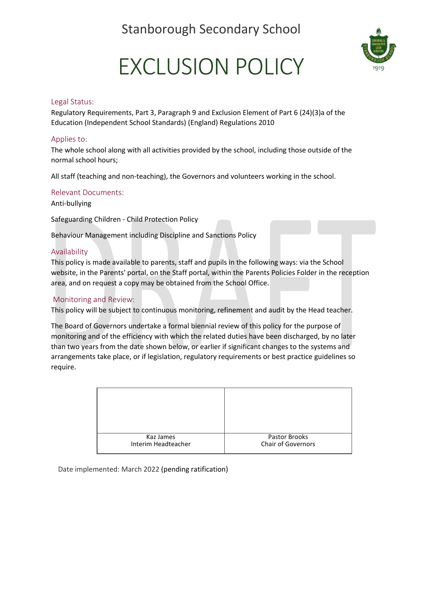Stanborough Secondary School



# EXCLUSION POLICY

### Legal Status:

Regulatory Requirements, Part 3, Paragraph 9 and Exclusion Element of Part 6 (24)(3)a of the Education (Independent School Standards) (England) Regulations 2010

### Applies to:

The whole school along with all activities provided by the school, including those outside of the normal school hours;

All staff (teaching and non-teaching), the Governors and volunteers working in the school.

### Relevant Documents:

Anti-bullying

Safeguarding Children - Child Protection Policy

Behaviour Management including Discipline and Sanctions Policy

### Availability

This policy is made available to parents, staff and pupils in the following ways: via the School website, in the Parents' portal, on the Staff portal, within the Parents Policies Folder in the reception area, and on request a copy may be obtained from the School Office.

#### Monitoring and Review:

This policy will be subject to continuous monitoring, refinement and audit by the Head teacher.

The Board of Governors undertake a formal biennial review of this policy for the purpose of monitoring and of the efficiency with which the related duties have been discharged, by no later than two years from the date shown below, or earlier if significant changes to the systems and arrangements take place, or if legislation, regulatory requirements or best practice guidelines so require.

| Kaz James<br>Interim Headteacher | Pastor Brooks<br>Chair of Governors |
|----------------------------------|-------------------------------------|

Date implemented: March 2022 (pending ratification)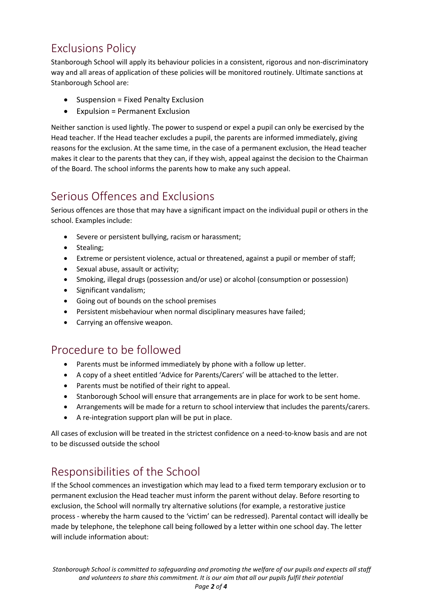# Exclusions Policy

Stanborough School will apply its behaviour policies in a consistent, rigorous and non-discriminatory way and all areas of application of these policies will be monitored routinely. Ultimate sanctions at Stanborough School are:

- Suspension = Fixed Penalty Exclusion
- Expulsion = Permanent Exclusion

Neither sanction is used lightly. The power to suspend or expel a pupil can only be exercised by the Head teacher. If the Head teacher excludes a pupil, the parents are informed immediately, giving reasons for the exclusion. At the same time, in the case of a permanent exclusion, the Head teacher makes it clear to the parents that they can, if they wish, appeal against the decision to the Chairman of the Board. The school informs the parents how to make any such appeal.

## Serious Offences and Exclusions

Serious offences are those that may have a significant impact on the individual pupil or others in the school. Examples include:

- Severe or persistent bullying, racism or harassment;
- Stealing;
- Extreme or persistent violence, actual or threatened, against a pupil or member of staff;
- Sexual abuse, assault or activity;
- Smoking, illegal drugs (possession and/or use) or alcohol (consumption or possession)
- Significant vandalism;
- Going out of bounds on the school premises
- Persistent misbehaviour when normal disciplinary measures have failed;
- Carrying an offensive weapon.

### Procedure to be followed

- Parents must be informed immediately by phone with a follow up letter.
- A copy of a sheet entitled 'Advice for Parents/Carers' will be attached to the letter.
- Parents must be notified of their right to appeal.
- Stanborough School will ensure that arrangements are in place for work to be sent home.
- Arrangements will be made for a return to school interview that includes the parents/carers.
- A re-integration support plan will be put in place.

All cases of exclusion will be treated in the strictest confidence on a need-to-know basis and are not to be discussed outside the school

## Responsibilities of the School

If the School commences an investigation which may lead to a fixed term temporary exclusion or to permanent exclusion the Head teacher must inform the parent without delay. Before resorting to exclusion, the School will normally try alternative solutions (for example, a restorative justice process - whereby the harm caused to the 'victim' can be redressed). Parental contact will ideally be made by telephone, the telephone call being followed by a letter within one school day. The letter will include information about: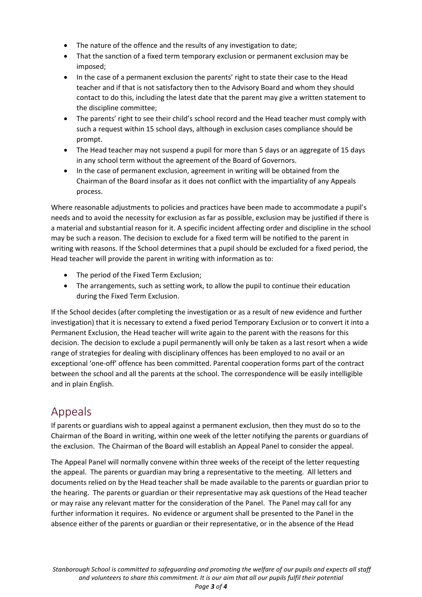- The nature of the offence and the results of any investigation to date;
- That the sanction of a fixed term temporary exclusion or permanent exclusion may be imposed;
- In the case of a permanent exclusion the parents' right to state their case to the Head teacher and if that is not satisfactory then to the Advisory Board and whom they should contact to do this, including the latest date that the parent may give a written statement to the discipline committee;
- The parents' right to see their child's school record and the Head teacher must comply with such a request within 15 school days, although in exclusion cases compliance should be prompt.
- The Head teacher may not suspend a pupil for more than 5 days or an aggregate of 15 days in any school term without the agreement of the Board of Governors.
- In the case of permanent exclusion, agreement in writing will be obtained from the Chairman of the Board insofar as it does not conflict with the impartiality of any Appeals process.

Where reasonable adjustments to policies and practices have been made to accommodate a pupil's needs and to avoid the necessity for exclusion as far as possible, exclusion may be justified if there is a material and substantial reason for it. A specific incident affecting order and discipline in the school may be such a reason. The decision to exclude for a fixed term will be notified to the parent in writing with reasons. If the School determines that a pupil should be excluded for a fixed period, the Head teacher will provide the parent in writing with information as to:

- The period of the Fixed Term Exclusion;
- The arrangements, such as setting work, to allow the pupil to continue their education during the Fixed Term Exclusion.

If the School decides (after completing the investigation or as a result of new evidence and further investigation) that it is necessary to extend a fixed period Temporary Exclusion or to convert it into a Permanent Exclusion, the Head teacher will write again to the parent with the reasons for this decision. The decision to exclude a pupil permanently will only be taken as a last resort when a wide range of strategies for dealing with disciplinary offences has been employed to no avail or an exceptional 'one-off' offence has been committed. Parental cooperation forms part of the contract between the school and all the parents at the school. The correspondence will be easily intelligible and in plain English.

# Appeals

If parents or guardians wish to appeal against a permanent exclusion, then they must do so to the Chairman of the Board in writing, within one week of the letter notifying the parents or guardians of the exclusion. The Chairman of the Board will establish an Appeal Panel to consider the appeal.

The Appeal Panel will normally convene within three weeks of the receipt of the letter requesting the appeal. The parents or guardian may bring a representative to the meeting. All letters and documents relied on by the Head teacher shall be made available to the parents or guardian prior to the hearing. The parents or guardian or their representative may ask questions of the Head teacher or may raise any relevant matter for the consideration of the Panel. The Panel may call for any further information it requires. No evidence or argument shall be presented to the Panel in the absence either of the parents or guardian or their representative, or in the absence of the Head